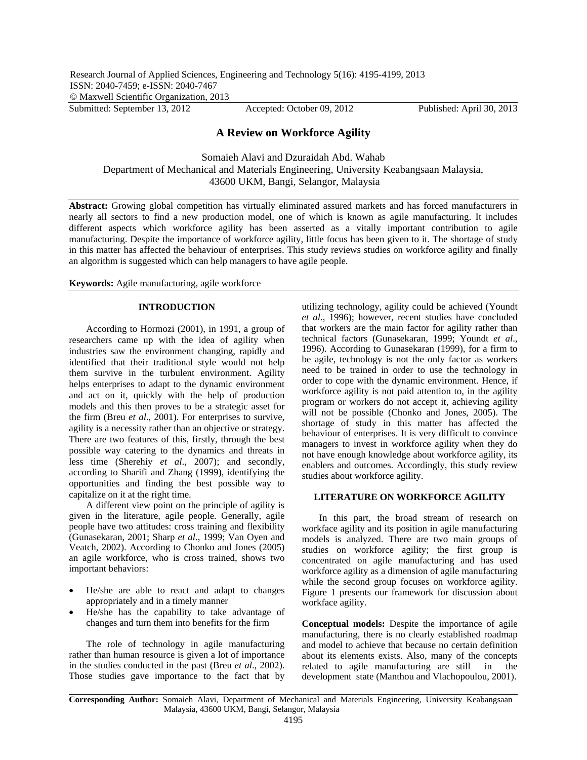# **A Review on Workforce Agility**

Somaieh Alavi and Dzuraidah Abd. Wahab Department of Mechanical and Materials Engineering, University Keabangsaan Malaysia, 43600 UKM, Bangi, Selangor, Malaysia

**Abstract:** Growing global competition has virtually eliminated assured markets and has forced manufacturers in nearly all sectors to find a new production model, one of which is known as agile manufacturing. It includes different aspects which workforce agility has been asserted as a vitally important contribution to agile manufacturing. Despite the importance of workforce agility, little focus has been given to it. The shortage of study in this matter has affected the behaviour of enterprises. This study reviews studies on workforce agility and finally an algorithm is suggested which can help managers to have agile people.

**Keywords:** Agile manufacturing, agile workforce

## **INTRODUCTION**

According to Hormozi (2001), in 1991, a group of researchers came up with the idea of agility when industries saw the environment changing, rapidly and identified that their traditional style would not help them survive in the turbulent environment. Agility helps enterprises to adapt to the dynamic environment and act on it, quickly with the help of production models and this then proves to be a strategic asset for the firm (Breu *et al*., 2001). For enterprises to survive, agility is a necessity rather than an objective or strategy. There are two features of this, firstly, through the best possible way catering to the dynamics and threats in less time (Sherehiy *et al*., 2007); and secondly, according to Sharifi and Zhang (1999), identifying the opportunities and finding the best possible way to capitalize on it at the right time.

A different view point on the principle of agility is given in the literature, agile people. Generally, agile people have two attitudes: cross training and flexibility (Gunasekaran, 2001; Sharp *et al*., 1999; Van Oyen and Veatch, 2002). According to Chonko and Jones (2005) an agile workforce, who is cross trained, shows two important behaviors:

- He/she are able to react and adapt to changes appropriately and in a timely manner
- He/she has the capability to take advantage of changes and turn them into benefits for the firm

The role of technology in agile manufacturing rather than human resource is given a lot of importance in the studies conducted in the past (Breu *et al*., 2002). Those studies gave importance to the fact that by

utilizing technology, agility could be achieved (Youndt *et al*., 1996); however, recent studies have concluded that workers are the main factor for agility rather than technical factors (Gunasekaran, 1999; Youndt *et al*., 1996). According to Gunasekaran (1999), for a firm to be agile, technology is not the only factor as workers need to be trained in order to use the technology in order to cope with the dynamic environment. Hence, if workforce agility is not paid attention to, in the agility program or workers do not accept it, achieving agility will not be possible (Chonko and Jones, 2005). The shortage of study in this matter has affected the behaviour of enterprises. It is very difficult to convince managers to invest in workforce agility when they do not have enough knowledge about workforce agility, its enablers and outcomes. Accordingly, this study review studies about workforce agility.

### **LITERATURE ON WORKFORCE AGILITY**

In this part, the broad stream of research on workface agility and its position in agile manufacturing models is analyzed. There are two main groups of studies on workforce agility; the first group is concentrated on agile manufacturing and has used workforce agility as a dimension of agile manufacturing while the second group focuses on workforce agility. Figure 1 presents our framework for discussion about workface agility.

**Conceptual models:** Despite the importance of agile manufacturing, there is no clearly established roadmap and model to achieve that because no certain definition about its elements exists. Also, many of the concepts related to agile manufacturing are still in the development state (Manthou and Vlachopoulou, 2001).

**Corresponding Author:** Somaieh Alavi, Department of Mechanical and Materials Engineering, University Keabangsaan Malaysia, 43600 UKM, Bangi, Selangor, Malaysia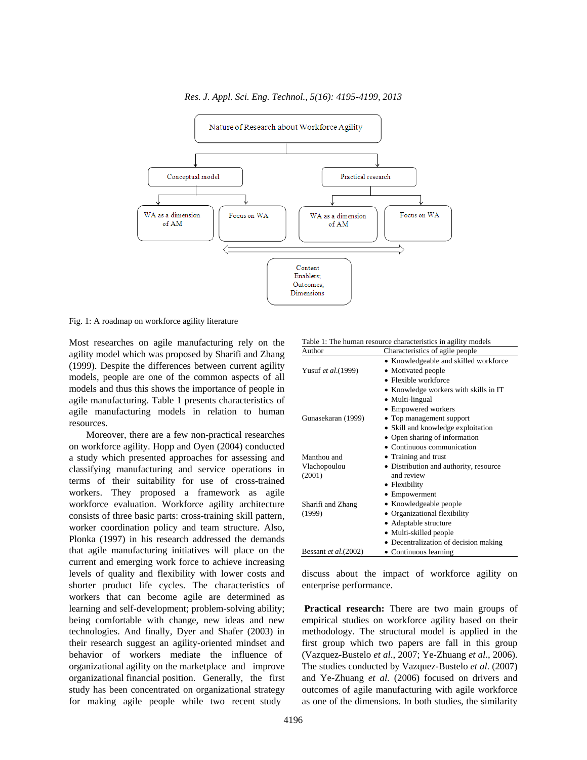

*Res. J. Appl. Sci. Eng. Technol., 5(16): 4195-4199, 2013* 

Fig. 1: A roadmap on workforce agility literature

Most researches on agile manufacturing rely on the agility model which was proposed by Sharifi and Zhang (1999). Despite the differences between current agility models, people are one of the common aspects of all models and thus this shows the importance of people in agile manufacturing. Table 1 presents characteristics of agile manufacturing models in relation to human resources.

Moreover, there are a few non-practical researches on workforce agility. Hopp and Oyen (2004) conducted a study which presented approaches for assessing and classifying manufacturing and service operations in terms of their suitability for use of cross-trained workers. They proposed a framework as agile workforce evaluation. Workforce agility architecture consists of three basic parts: cross-training skill pattern, worker coordination policy and team structure. Also, Plonka (1997) in his research addressed the demands that agile manufacturing initiatives will place on the current and emerging work force to achieve increasing levels of quality and flexibility with lower costs and shorter product life cycles. The characteristics of workers that can become agile are determined as learning and self-development; problem-solving ability; being comfortable with change, new ideas and new technologies. And finally, Dyer and Shafer (2003) in their research suggest an agility-oriented mindset and behavior of workers mediate the influence of organizational agility on the marketplace and improve organizational financial position. Generally, the first study has been concentrated on organizational strategy for making agile people while two recent study

| Author                | Characteristics of agile people        |
|-----------------------|----------------------------------------|
|                       | • Knowledgeable and skilled workforce  |
| Yusuf et al.(1999)    | • Motivated people                     |
|                       | $\bullet$ Flexible workforce           |
|                       | • Knowledge workers with skills in IT  |
|                       | • Multi-lingual                        |
|                       | • Empowered workers                    |
| Gunasekaran (1999)    | • Top management support               |
|                       | • Skill and knowledge exploitation     |
|                       | • Open sharing of information          |
|                       | • Continuous communication             |
| Manthou and           | • Training and trust                   |
| Vlachopoulou          | • Distribution and authority, resource |
| (2001)                | and review                             |
|                       | • Flexibility                          |
|                       | • Empowerment                          |
| Sharifi and Zhang     | • Knowledgeable people                 |
| (1999)                | • Organizational flexibility           |
|                       | • Adaptable structure                  |
|                       | • Multi-skilled people                 |
|                       | • Decentralization of decision making  |
| Bessant et al. (2002) | • Continuous learning                  |

Table 1: The human resource characteristics in agility models

discuss about the impact of workforce agility on enterprise performance.

**Practical research:** There are two main groups of empirical studies on workforce agility based on their methodology. The structural model is applied in the first group which two papers are fall in this group (Vazquez-Bustelo *et al*., 2007; Ye-Zhuang *et al*., 2006). The studies conducted by Vazquez-Bustelo *et al*. (2007) and Ye-Zhuang *et al*. (2006) focused on drivers and outcomes of agile manufacturing with agile workforce as one of the dimensions. In both studies, the similarity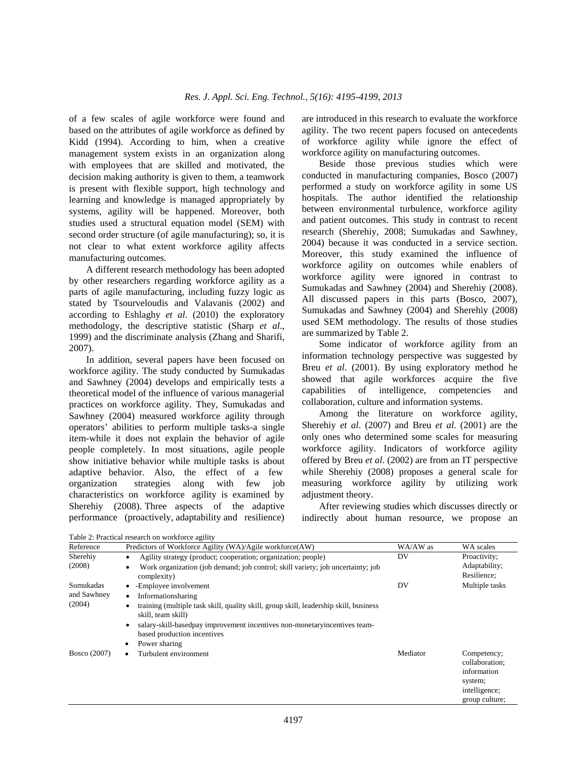of a few scales of agile workforce were found and based on the attributes of agile workforce as defined by Kidd (1994). According to him, when a creative management system exists in an organization along with employees that are skilled and motivated, the decision making authority is given to them, a teamwork is present with flexible support, high technology and learning and knowledge is managed appropriately by systems, agility will be happened. Moreover, both studies used a structural equation model (SEM) with second order structure (of agile manufacturing); so, it is not clear to what extent workforce agility affects manufacturing outcomes.

A different research methodology has been adopted by other researchers regarding workforce agility as a parts of agile manufacturing, including fuzzy logic as stated by Tsourveloudis and Valavanis (2002) and according to Eshlaghy *et al*. (2010) the exploratory methodology, the descriptive statistic (Sharp *et al*., 1999) and the discriminate analysis (Zhang and Sharifi, 2007).

In addition, several papers have been focused on workforce agility. The study conducted by Sumukadas and Sawhney (2004) develops and empirically tests a theoretical model of the influence of various managerial practices on workforce agility. They, Sumukadas and Sawhney (2004) measured workforce agility through operators' abilities to perform multiple tasks-a single item-while it does not explain the behavior of agile people completely. In most situations, agile people show initiative behavior while multiple tasks is about adaptive behavior. Also, the effect of a few organization strategies along with few job characteristics on workforce agility is examined by Sherehiy (2008). Three aspects of the adaptive performance (proactively, adaptability and resilience) are introduced in this research to evaluate the workforce agility. The two recent papers focused on antecedents of workforce agility while ignore the effect of workforce agility on manufacturing outcomes.

Beside those previous studies which were conducted in manufacturing companies, Bosco (2007) performed a study on workforce agility in some US hospitals. The author identified the relationship between environmental turbulence, workforce agility and patient outcomes. This study in contrast to recent research (Sherehiy, 2008; Sumukadas and Sawhney, 2004) because it was conducted in a service section. Moreover, this study examined the influence of workforce agility on outcomes while enablers of workforce agility were ignored in contrast to Sumukadas and Sawhney (2004) and Sherehiy (2008). All discussed papers in this parts (Bosco, 2007), Sumukadas and Sawhney (2004) and Sherehiy (2008) used SEM methodology. The results of those studies are summarized by Table 2.

Some indicator of workforce agility from an information technology perspective was suggested by Breu *et al*. (2001). By using exploratory method he showed that agile workforces acquire the five capabilities of intelligence, competencies and collaboration, culture and information systems.

Among the literature on workforce agility, Sherehiy *et al*. (2007) and Breu *et al*. (2001) are the only ones who determined some scales for measuring workforce agility. Indicators of workforce agility offered by Breu *et al*. (2002) are from an IT perspective while Sherehiy (2008) proposes a general scale for measuring workforce agility by utilizing work adjustment theory.

After reviewing studies which discusses directly or indirectly about human resource, we propose an

group culture;

Reference Predictors of Workforce Agility (WA)/Agile workforce(AW) WA/AW as WA scales Sherehiy (2008) Agility strategy (product; cooperation; organization; people) Work organization (job demand; job control; skill variety; job uncertainty; job complexity) DV Proactivity; Adaptability; Resilience; Sumukadas and Sawhney (2004) -Employee involvement Informationsharing training (multiple task skill, quality skill, group skill, leadership skill, business skill, team skill) salary-skill-basedpay improvement incentives non-monetaryincentives teambased production incentives Power sharing DV Multiple tasks Bosco (2007) • Turbulent environment Mediator Competency; collaboration; information system; intelligence;

Table 2: Practical research on workforce agility